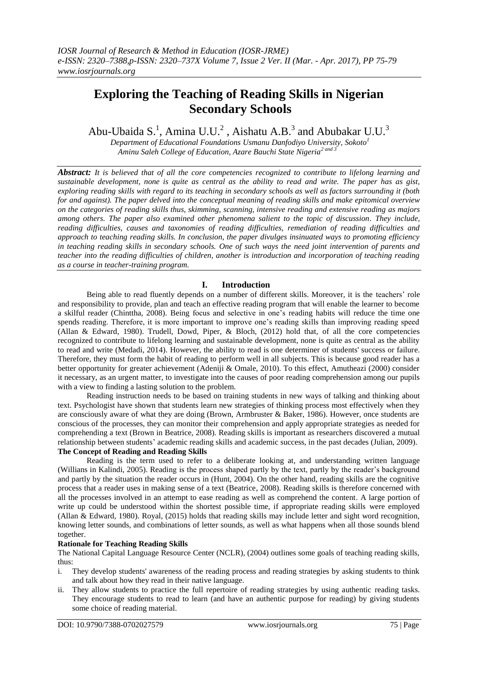# **Exploring the Teaching of Reading Skills in Nigerian Secondary Schools**

Abu-Ubaida S.<sup>1</sup>, Amina U.U.<sup>2</sup>, Aishatu A.B.<sup>3</sup> and Abubakar U.U.<sup>3</sup>

*Department of Educational Foundations Usmanu Danfodiyo University, Sokoto<sup>1</sup> Aminu Saleh College of Education, Azare Bauchi State Nigeria2 and 3*

*Abstract: It is believed that of all the core competencies recognized to contribute to lifelong learning and sustainable development, none is quite as central as the ability to read and write. The paper has as gist, exploring reading skills with regard to its teaching in secondary schools as well as factors surrounding it (both for and against). The paper delved into the conceptual meaning of reading skills and make epitomical overview on the categories of reading skills thus, skimming, scanning, intensive reading and extensive reading as majors among others. The paper also examined other phenomena salient to the topic of discussion. They include, reading difficulties, causes and taxonomies of reading difficulties, remediation of reading difficulties and approach to teaching reading skills. In conclusion, the paper divulges insinuated ways to promoting efficiency in teaching reading skills in secondary schools. One of such ways the need joint intervention of parents and teacher into the reading difficulties of children, another is introduction and incorporation of teaching reading as a course in teacher-training program.*

# **I. Introduction**

Being able to read fluently depends on a number of different skills. Moreover, it is the teachers' role and responsibility to provide, plan and teach an effective reading program that will enable the learner to become a skilful reader (Chinttha, 2008). Being focus and selective in one's reading habits will reduce the time one spends reading. Therefore, it is more important to improve one's reading skills than improving reading speed (Allan & Edward, 1980). Trudell, Dowd, Piper, & Bloch, (2012) hold that, of all the core competencies recognized to contribute to lifelong learning and sustainable development, none is quite as central as the ability to read and write (Medadi, 2014). However, the ability to read is one determiner of students' success or failure. Therefore, they must form the habit of reading to perform well in all subjects. This is because good reader has a better opportunity for greater achievement (Adeniji & Omale, 2010). To this effect, Amutheazi (2000) consider it necessary, as an urgent matter, to investigate into the causes of poor reading comprehension among our pupils with a view to finding a lasting solution to the problem.

Reading instruction needs to be based on training students in new ways of talking and thinking about text. Psychologist have shown that students learn new strategies of thinking process most effectively when they are consciously aware of what they are doing (Brown, Armbruster & Baker, 1986). However, once students are conscious of the processes, they can monitor their comprehension and apply appropriate strategies as needed for comprehending a text (Brown in Beatrice, 2008). Reading skills is important as researchers discovered a mutual relationship between students' academic reading skills and academic success, in the past decades (Julian, 2009). **The Concept of Reading and Reading Skills**

Reading is the term used to refer to a deliberate looking at, and understanding written language (Willians in Kalindi, 2005). Reading is the process shaped partly by the text, partly by the reader's background and partly by the situation the reader occurs in (Hunt, 2004). On the other hand, reading skills are the cognitive process that a reader uses in making sense of a text (Beatrice, 2008). Reading skills is therefore concerned with all the processes involved in an attempt to ease reading as well as comprehend the content. A large portion of write up could be understood within the shortest possible time, if appropriate reading skills were employed (Allan & Edward, 1980). Royal, (2015) holds that reading skills may include letter and sight word recognition, knowing letter sounds, and combinations of letter sounds, as well as what happens when all those sounds blend together.

# **Rationale for Teaching Reading Skills**

The National Capital Language Resource Center (NCLR), (2004) outlines some goals of teaching reading skills, thus:

- i. They develop students' awareness of the reading process and reading strategies by asking students to think and talk about how they read in their native language.
- ii. They allow students to practice the full repertoire of reading strategies by using authentic reading tasks. They encourage students to read to learn (and have an authentic purpose for reading) by giving students some choice of reading material.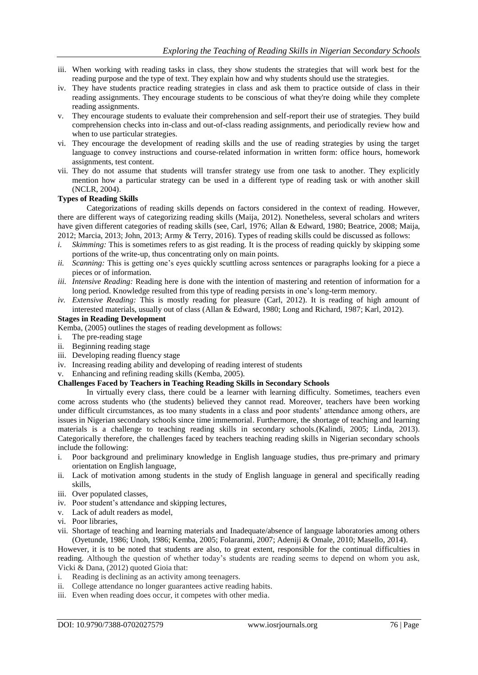- iii. When working with reading tasks in class, they show students the strategies that will work best for the reading purpose and the type of text. They explain how and why students should use the strategies.
- iv. They have students practice reading strategies in class and ask them to practice outside of class in their reading assignments. They encourage students to be conscious of what they're doing while they complete reading assignments.
- v. They encourage students to evaluate their comprehension and self-report their use of strategies. They build comprehension checks into in-class and out-of-class reading assignments, and periodically review how and when to use particular strategies.
- vi. They encourage the development of reading skills and the use of reading strategies by using the target language to convey instructions and course-related information in written form: office hours, homework assignments, test content.
- vii. They do not assume that students will transfer strategy use from one task to another. They explicitly mention how a particular strategy can be used in a different type of reading task or with another skill (NCLR, 2004).

### **Types of Reading Skills**

Categorizations of reading skills depends on factors considered in the context of reading. However, there are different ways of categorizing reading skills (Maija, 2012). Nonetheless, several scholars and writers have given different categories of reading skills (see, Carl, 1976; Allan & Edward, 1980; Beatrice, 2008; Maija, 2012; Marcia, 2013; John, 2013; Army & Terry, 2016). Types of reading skills could be discussed as follows:

- *i. Skimming:* This is sometimes refers to as gist reading. It is the process of reading quickly by skipping some portions of the write-up, thus concentrating only on main points.
- *ii. Scanning:* This is getting one's eyes quickly scuttling across sentences or paragraphs looking for a piece a pieces or of information.
- *iii. Intensive Reading:* Reading here is done with the intention of mastering and retention of information for a long period. Knowledge resulted from this type of reading persists in one's long-term memory.
- *iv. Extensive Reading:* This is mostly reading for pleasure (Carl, 2012). It is reading of high amount of interested materials, usually out of class (Allan & Edward, 1980; Long and Richard, 1987; Karl, 2012).

#### **Stages in Reading Development**

Kemba, (2005) outlines the stages of reading development as follows:

- i. The pre-reading stage
- ii. Beginning reading stage
- iii. Developing reading fluency stage
- iv. Increasing reading ability and developing of reading interest of students
- v. Enhancing and refining reading skills (Kemba, 2005).

### **Challenges Faced by Teachers in Teaching Reading Skills in Secondary Schools**

In virtually every class, there could be a learner with learning difficulty. Sometimes, teachers even come across students who (the students) believed they cannot read. Moreover, teachers have been working under difficult circumstances, as too many students in a class and poor students' attendance among others, are issues in Nigerian secondary schools since time immemorial. Furthermore, the shortage of teaching and learning materials is a challenge to teaching reading skills in secondary schools.(Kalindi, 2005; Linda, 2013). Categorically therefore, the challenges faced by teachers teaching reading skills in Nigerian secondary schools include the following:

- i. Poor background and preliminary knowledge in English language studies, thus pre-primary and primary orientation on English language,
- ii. Lack of motivation among students in the study of English language in general and specifically reading skills,
- iii. Over populated classes,
- iv. Poor student's attendance and skipping lectures,
- v. Lack of adult readers as model,
- vi. Poor libraries,
- vii. Shortage of teaching and learning materials and Inadequate/absence of language laboratories among others (Oyetunde, 1986; Unoh, 1986; Kemba, 2005; Folaranmi, 2007; Adeniji & Omale, 2010; Masello, 2014).

However, it is to be noted that students are also, to great extent, responsible for the continual difficulties in reading. Although the question of whether today's students are reading seems to depend on whom you ask, Vicki & Dana, (2012) quoted Gioia that:

- i. Reading is declining as an activity among teenagers.
- ii. College attendance no longer guarantees active reading habits.
- iii. Even when reading does occur, it competes with other media.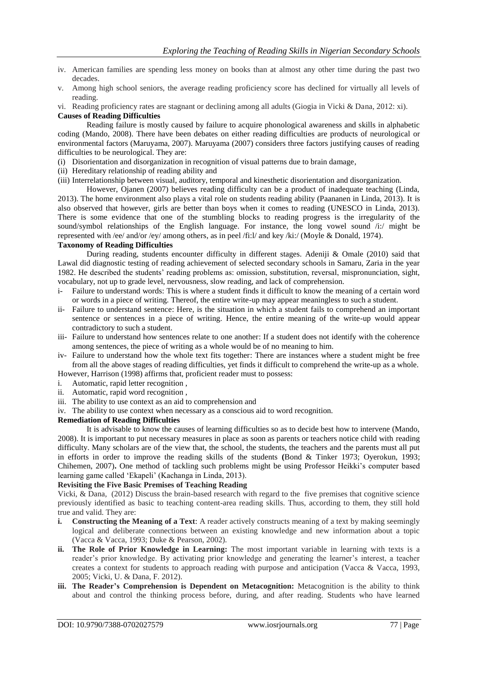- iv. American families are spending less money on books than at almost any other time during the past two decades.
- v. Among high school seniors, the average reading proficiency score has declined for virtually all levels of reading.
- vi. Reading proficiency rates are stagnant or declining among all adults (Giogia in Vicki & Dana, 2012: xi).

### **Causes of Reading Difficulties**

Reading failure is mostly caused by failure to acquire phonological awareness and skills in alphabetic coding (Mando, 2008). There have been debates on either reading difficulties are products of neurological or environmental factors (Maruyama, 2007). Maruyama (2007) considers three factors justifying causes of reading difficulties to be neurological. They are:

- (i) Disorientation and disorganization in recognition of visual patterns due to brain damage,
- (ii) Hereditary relationship of reading ability and
- (iii) Interrelationship between visual, auditory, temporal and kinesthetic disorientation and disorganization.

However, Ojanen (2007) believes reading difficulty can be a product of inadequate teaching (Linda, 2013). The home environment also plays a vital role on students reading ability (Paananen in Linda, 2013). It is also observed that however, girls are better than boys when it comes to reading (UNESCO in Linda, 2013). There is some evidence that one of the stumbling blocks to reading progress is the irregularity of the sound/symbol relationships of the English language. For instance, the long vowel sound /i:/ might be represented with /ee/ and/or /ey/ among others, as in peel /fi:l/ and key /ki:/ (Moyle & Donald, 1974).

### **Taxonomy of Reading Difficulties**

During reading, students encounter difficulty in different stages. Adeniji & Omale (2010) said that Lawal did diagnostic testing of reading achievement of selected secondary schools in Samaru, Zaria in the year 1982. He described the students' reading problems as: omission, substitution, reversal, mispronunciation, sight, vocabulary, not up to grade level, nervousness, slow reading, and lack of comprehension.

- i- Failure to understand words: This is where a student finds it difficult to know the meaning of a certain word or words in a piece of writing. Thereof, the entire write-up may appear meaningless to such a student.
- ii- Failure to understand sentence: Here, is the situation in which a student fails to comprehend an important sentence or sentences in a piece of writing. Hence, the entire meaning of the write-up would appear contradictory to such a student.
- iii- Failure to understand how sentences relate to one another: If a student does not identify with the coherence among sentences, the piece of writing as a whole would be of no meaning to him.
- iv- Failure to understand how the whole text fits together: There are instances where a student might be free from all the above stages of reading difficulties, yet finds it difficult to comprehend the write-up as a whole. However, Harrison (1998) affirms that, proficient reader must to possess:
- 
- i. Automatic, rapid letter recognition ,
- ii. Automatic, rapid word recognition ,
- iii. The ability to use context as an aid to comprehension and
- iv. The ability to use context when necessary as a conscious aid to word recognition.

# **Remediation of Reading Difficulties**

It is advisable to know the causes of learning difficulties so as to decide best how to intervene (Mando, 2008). It is important to put necessary measures in place as soon as parents or teachers notice child with reading difficulty. Many scholars are of the view that, the school, the students, the teachers and the parents must all put in efforts in order to improve the reading skills of the students **(**Bond & Tinker 1973; Oyerokun, 1993; Chihemen, 2007)**.** One method of tackling such problems might be using Professor Heikki's computer based learning game called 'Ekapeli' (Kachanga in Linda, 2013).

# **Revisiting the Five Basic Premises of Teaching Reading**

Vicki, & Dana, (2012) Discuss the brain-based research with regard to the five premises that cognitive science previously identified as basic to teaching content-area reading skills. Thus, according to them, they still hold true and valid. They are:

- **i. Constructing the Meaning of a Text**: A reader actively constructs meaning of a text by making seemingly logical and deliberate connections between an existing knowledge and new information about a topic (Vacca & Vacca, 1993; Duke & Pearson, 2002).
- **ii. The Role of Prior Knowledge in Learning:** The most important variable in learning with texts is a reader's prior knowledge. By activating prior knowledge and generating the learner's interest, a teacher creates a context for students to approach reading with purpose and anticipation (Vacca & Vacca, 1993, 2005; Vicki, U. & Dana, F. 2012).
- **iii. The Reader's Comprehension is Dependent on Metacognition:** Metacognition is the ability to think about and control the thinking process before, during, and after reading. Students who have learned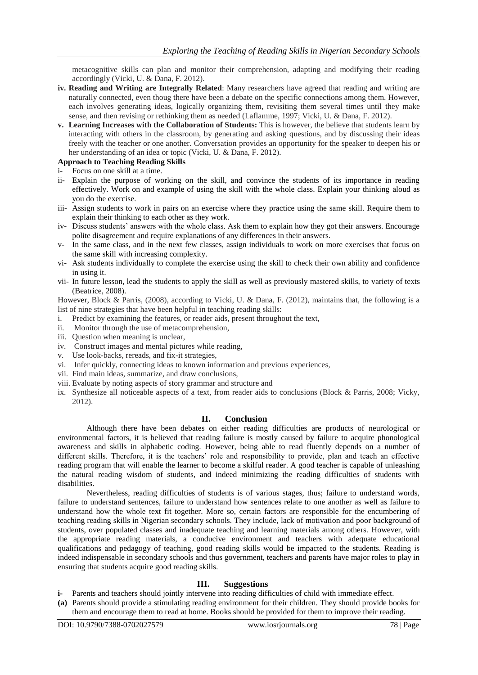metacognitive skills can plan and monitor their comprehension, adapting and modifying their reading accordingly (Vicki, U. & Dana, F. 2012).

- **iv. Reading and Writing are Integrally Related**: Many researchers have agreed that reading and writing are naturally connected, even thoug there have been a debate on the specific connections among them. However, each involves generating ideas, logically organizing them, revisiting them several times until they make sense, and then revising or rethinking them as needed (Laflamme, 1997; Vicki, U. & Dana, F. 2012).
- **v. Learning Increases with the Collaboration of Students:** This is however, the believe that students learn by interacting with others in the classroom, by generating and asking questions, and by discussing their ideas freely with the teacher or one another. Conversation provides an opportunity for the speaker to deepen his or her understanding of an idea or topic (Vicki, U. & Dana, F. 2012).

### **Approach to Teaching Reading Skills**

- i- Focus on one skill at a time.
- ii- Explain the purpose of working on the skill, and convince the students of its importance in reading effectively. Work on and example of using the skill with the whole class. Explain your thinking aloud as you do the exercise.
- iii- Assign students to work in pairs on an exercise where they practice using the same skill. Require them to explain their thinking to each other as they work.
- iv- Discuss students' answers with the whole class. Ask them to explain how they got their answers. Encourage polite disagreement and require explanations of any differences in their answers.
- v- In the same class, and in the next few classes, assign individuals to work on more exercises that focus on the same skill with increasing complexity.
- vi- Ask students individually to complete the exercise using the skill to check their own ability and confidence in using it.
- vii- In future lesson, lead the students to apply the skill as well as previously mastered skills, to variety of texts (Beatrice, 2008).

However, Block & Parris, (2008), according to Vicki, U. & Dana, F. (2012), maintains that, the following is a list of nine strategies that have been helpful in teaching reading skills:

- i. Predict by examining the features, or reader aids, present throughout the text,
- ii. Monitor through the use of metacomprehension,
- iii. Question when meaning is unclear,
- iv. Construct images and mental pictures while reading,
- v. Use look-backs, rereads, and fix-it strategies,
- vi. Infer quickly, connecting ideas to known information and previous experiences,
- vii. Find main ideas, summarize, and draw conclusions,
- viii. Evaluate by noting aspects of story grammar and structure and
- ix. Synthesize all noticeable aspects of a text, from reader aids to conclusions (Block & Parris, 2008; Vicky, 2012).

# **II. Conclusion**

Although there have been debates on either reading difficulties are products of neurological or environmental factors, it is believed that reading failure is mostly caused by failure to acquire phonological awareness and skills in alphabetic coding. However, being able to read fluently depends on a number of different skills. Therefore, it is the teachers' role and responsibility to provide, plan and teach an effective reading program that will enable the learner to become a skilful reader. A good teacher is capable of unleashing the natural reading wisdom of students, and indeed minimizing the reading difficulties of students with disabilities.

Nevertheless, reading difficulties of students is of various stages, thus; failure to understand words, failure to understand sentences, failure to understand how sentences relate to one another as well as failure to understand how the whole text fit together. More so, certain factors are responsible for the encumbering of teaching reading skills in Nigerian secondary schools. They include, lack of motivation and poor background of students, over populated classes and inadequate teaching and learning materials among others. However, with the appropriate reading materials, a conducive environment and teachers with adequate educational qualifications and pedagogy of teaching, good reading skills would be impacted to the students. Reading is indeed indispensable in secondary schools and thus government, teachers and parents have major roles to play in ensuring that students acquire good reading skills.

# **III. Suggestions**

- **i-** Parents and teachers should jointly intervene into reading difficulties of child with immediate effect.
- **(a)** Parents should provide a stimulating reading environment for their children. They should provide books for them and encourage them to read at home. Books should be provided for them to improve their reading.